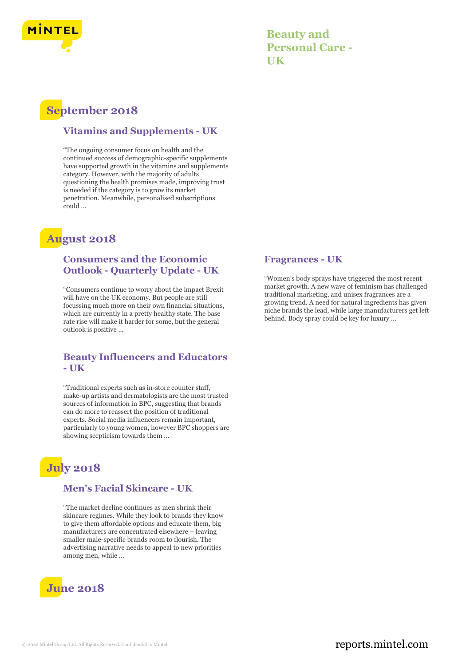

**Beauty and Personal Care - UK**

## **September 2018**

#### **Vitamins and Supplements - UK**

"The ongoing consumer focus on health and the continued success of demographic-specific supplements have supported growth in the vitamins and supplements category. However, with the majority of adults questioning the health promises made, improving trust is needed if the category is to grow its market penetration. Meanwhile, personalised subscriptions could ...

## **August 2018**

#### **Consumers and the Economic Outlook - Quarterly Update - UK**

"Consumers continue to worry about the impact Brexit will have on the UK economy. But people are still focussing much more on their own financial situations, which are currently in a pretty healthy state. The base rate rise will make it harder for some, but the general outlook is positive ...

#### **Beauty Influencers and Educators - UK**

"Traditional experts such as in-store counter staff, make-up artists and dermatologists are the most trusted sources of information in BPC, suggesting that brands can do more to reassert the position of traditional experts. Social media influencers remain important, particularly to young women, however BPC shoppers are showing scepticism towards them ...

# **July 2018**

#### **Men's Facial Skincare - UK**

"The market decline continues as men shrink their skincare regimes. While they look to brands they know to give them affordable options and educate them, big manufacturers are concentrated elsewhere – leaving smaller male-specific brands room to flourish. The advertising narrative needs to appeal to new priorities among men, while ...



#### **Fragrances - UK**

"Women's body sprays have triggered the most recent market growth. A new wave of feminism has challenged traditional marketing, and unisex fragrances are a growing trend. A need for natural ingredients has given niche brands the lead, while large manufacturers get left behind. Body spray could be key for luxury ...